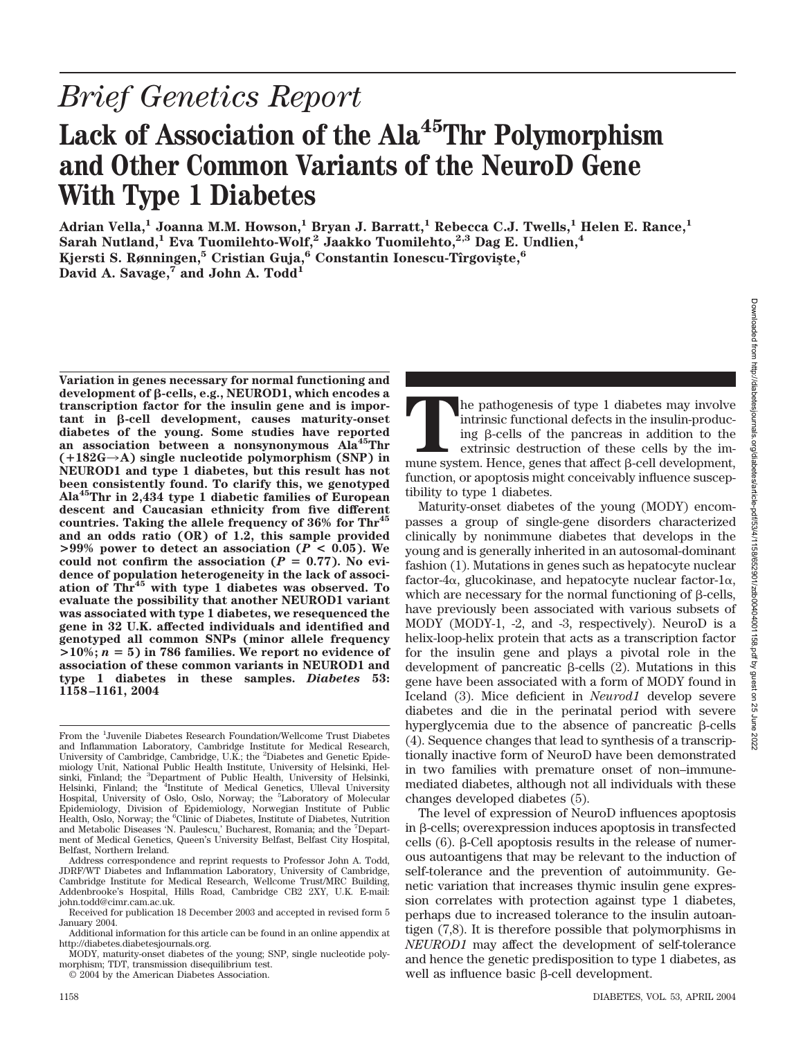## Lack of Association of the Ala<sup>45</sup>Thr Polymorphism **and Other Common Variants of the NeuroD Gene With Type 1 Diabetes**

Adrian Vella,<sup>1</sup> Joanna M.M. Howson,<sup>1</sup> Bryan J. Barratt,<sup>1</sup> Rebecca C.J. Twells,<sup>1</sup> Helen E. Rance,<sup>1</sup> **Sarah Nutland,1 Eva Tuomilehto-Wolf,2 Jaakko Tuomilehto,2,3 Dag E. Undlien,4** Kjersti S. Rønningen,<sup>5</sup> Cristian Guja,<sup>6</sup> Constantin Ionescu-Tîrgoviste,<sup>6</sup> David A. Savage,<sup>7</sup> and John A. Todd<sup>1</sup>

**Variation in genes necessary for normal functioning and development of -cells, e.g., NEUROD1, which encodes a transcription factor for the insulin gene and is impor-** $\tan t$  in  $\beta$ -cell development, causes maturity-onset **diabetes of the young. Some studies have reported an association between a nonsynonymous Ala45Thr (**-**182G**3**A) single nucleotide polymorphism (SNP) in NEUROD1 and type 1 diabetes, but this result has not been consistently found. To clarify this, we genotyped Ala45Thr in 2,434 type 1 diabetic families of European descent and Caucasian ethnicity from five different countries. Taking the allele frequency of 36% for Thr45 and an odds ratio (OR) of 1.2, this sample provided**  $>99\%$  power to detect an association ( $P < 0.05$ ). We could not confirm the association  $(P = 0.77)$ . No evi**dence of population heterogeneity in the lack of association of Thr45 with type 1 diabetes was observed. To evaluate the possibility that another NEUROD1 variant was associated with type 1 diabetes, we resequenced the gene in 32 U.K. affected individuals and identified and genotyped all common SNPs (minor allele frequency**  $>10\%$ ;  $n = 5$ ) in 786 families. We report no evidence of **association of these common variants in NEUROD1 and type 1 diabetes in these samples.** *Diabetes* **53: 1158–1161, 2004**

© 2004 by the American Diabetes Association.

The pathogenesis of type 1 diabetes may involve intrinsic functional defects in the insulin-producing β-cells of the pancreas in addition to the extrinsic destruction of these cells by the immune system. Hence, genes that intrinsic functional defects in the insulin-producing  $\beta$ -cells of the pancreas in addition to the extrinsic destruction of these cells by the imfunction, or apoptosis might conceivably influence susceptibility to type 1 diabetes.

Maturity-onset diabetes of the young (MODY) encompasses a group of single-gene disorders characterized clinically by nonimmune diabetes that develops in the young and is generally inherited in an autosomal-dominant fashion (1). Mutations in genes such as hepatocyte nuclear factor-4 $\alpha$ , glucokinase, and hepatocyte nuclear factor-1 $\alpha$ , which are necessary for the normal functioning of  $\beta$ -cells, have previously been associated with various subsets of MODY (MODY-1, -2, and -3, respectively). NeuroD is a helix-loop-helix protein that acts as a transcription factor for the insulin gene and plays a pivotal role in the development of pancreatic  $\beta$ -cells (2). Mutations in this gene have been associated with a form of MODY found in Iceland (3). Mice deficient in *Neurod1* develop severe diabetes and die in the perinatal period with severe hyperglycemia due to the absence of pancreatic  $\beta$ -cells (4). Sequence changes that lead to synthesis of a transcriptionally inactive form of NeuroD have been demonstrated in two families with premature onset of non–immunemediated diabetes, although not all individuals with these changes developed diabetes (5).

The level of expression of NeuroD influences apoptosis in  $\beta$ -cells; overexpression induces apoptosis in transfected cells  $(6)$ .  $\beta$ -Cell apoptosis results in the release of numerous autoantigens that may be relevant to the induction of self-tolerance and the prevention of autoimmunity. Genetic variation that increases thymic insulin gene expression correlates with protection against type 1 diabetes, perhaps due to increased tolerance to the insulin autoantigen (7,8). It is therefore possible that polymorphisms in *NEUROD1* may affect the development of self-tolerance and hence the genetic predisposition to type 1 diabetes, as well as influence basic  $\beta$ -cell development.

From the <sup>1</sup>Juvenile Diabetes Research Foundation/Wellcome Trust Diabetes and Inflammation Laboratory, Cambridge Institute for Medical Research, University of Cambridge, Cambridge, U.K.; the <sup>2</sup>Diabetes and Genetic Epidemiology Unit, National Public Health Institute, University of Helsinki, Helsinki, Finland; the <sup>3</sup>Department of Public Health, University of Helsinki,<br>Helsinki, Finland; the <sup>4</sup>Institute of Medical Genetics, Ulleval University Hospital, University of Oslo, Oslo, Norway; the <sup>5</sup>Laboratory of Molecular Epidemiology, Division of Epidemiology, Norwegian Institute of Public Health, Oslo, Norway; the <sup>6</sup>Clinic of Diabetes, Institute of Diabetes, Nutrition and Metabolic Diseases 'N. Paulescu,' Bucharest, Romania; and the <sup>7</sup> Department of Medical Genetics, Queen's University Belfast, Belfast City Hospital, Belfast, Northern Ireland.

Address correspondence and reprint requests to Professor John A. Todd, JDRF/WT Diabetes and Inflammation Laboratory, University of Cambridge, Cambridge Institute for Medical Research, Wellcome Trust/MRC Building, Addenbrooke's Hospital, Hills Road, Cambridge CB2 2XY, U.K. E-mail: john.todd@cimr.cam.ac.uk.

Received for publication 18 December 2003 and accepted in revised form 5 January 2004.

Additional information for this article can be found in an online appendix at http://diabetes.diabetesjournals.org.

MODY, maturity-onset diabetes of the young; SNP, single nucleotide polymorphism; TDT, transmission disequilibrium test.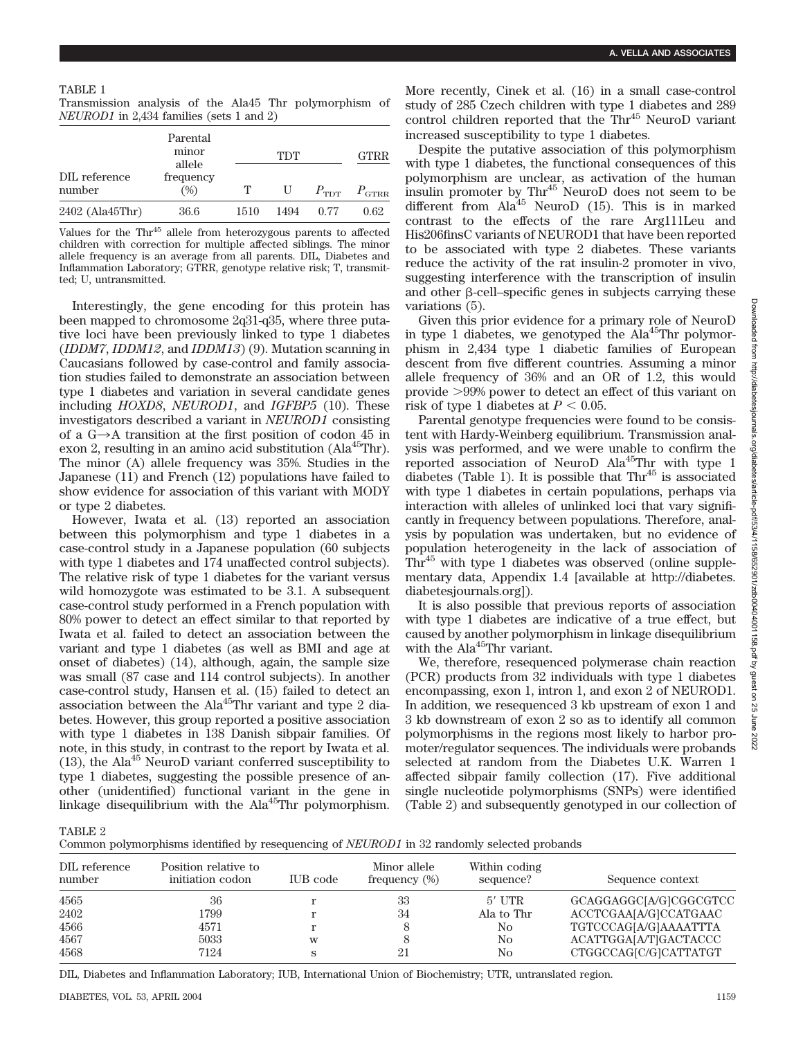Transmission analysis of the Ala45 Thr polymorphism of *NEUROD1* in 2,434 families (sets 1 and 2)

|                         | Parental<br>minor<br>allele |      | <b>GTRR</b> |                  |                   |
|-------------------------|-----------------------------|------|-------------|------------------|-------------------|
| DIL reference<br>number | frequency<br>(%)            | т    | U           | $P_{\text{TDT}}$ | $P_{\text{GTRR}}$ |
| $2402$ (Ala $45$ Thr)   | 36.6                        | 1510 | 1494        | 0.77             | 0.62              |

Values for the Thr<sup>45</sup> allele from heterozygous parents to affected children with correction for multiple affected siblings. The minor allele frequency is an average from all parents. DIL, Diabetes and Inflammation Laboratory; GTRR, genotype relative risk; T, transmitted; U, untransmitted.

Interestingly, the gene encoding for this protein has been mapped to chromosome 2q31-q35, where three putative loci have been previously linked to type 1 diabetes (*IDDM7*, *IDDM12*, and *IDDM13*) (9). Mutation scanning in Caucasians followed by case-control and family association studies failed to demonstrate an association between type 1 diabetes and variation in several candidate genes including *HOXD8*, *NEUROD1*, and *IGFBP5* (10). These investigators described a variant in *NEUROD1* consisting of a  $G \rightarrow A$  transition at the first position of codon 45 in exon 2, resulting in an amino acid substitution ( $Ala<sup>45</sup>Thr$ ). The minor (A) allele frequency was 35%. Studies in the Japanese (11) and French (12) populations have failed to show evidence for association of this variant with MODY or type 2 diabetes.

However, Iwata et al. (13) reported an association between this polymorphism and type 1 diabetes in a case-control study in a Japanese population (60 subjects with type 1 diabetes and 174 unaffected control subjects). The relative risk of type 1 diabetes for the variant versus wild homozygote was estimated to be 3.1. A subsequent case-control study performed in a French population with 80% power to detect an effect similar to that reported by Iwata et al. failed to detect an association between the variant and type 1 diabetes (as well as BMI and age at onset of diabetes) (14), although, again, the sample size was small (87 case and 114 control subjects). In another case-control study, Hansen et al. (15) failed to detect an association between the Ala<sup>45</sup>Thr variant and type 2 diabetes. However, this group reported a positive association with type 1 diabetes in 138 Danish sibpair families. Of note, in this study, in contrast to the report by Iwata et al.  $(13)$ , the Ala<sup>45</sup> NeuroD variant conferred susceptibility to type 1 diabetes, suggesting the possible presence of another (unidentified) functional variant in the gene in linkage disequilibrium with the Ala<sup>45</sup>Thr polymorphism.

More recently, Cinek et al. (16) in a small case-control study of 285 Czech children with type 1 diabetes and 289 control children reported that the Thr<sup>45</sup> NeuroD variant increased susceptibility to type 1 diabetes.

Despite the putative association of this polymorphism with type 1 diabetes, the functional consequences of this polymorphism are unclear, as activation of the human insulin promoter by Thr<sup>45</sup> NeuroD does not seem to be different from  $\text{Ala}^{45}$  NeuroD (15). This is in marked contrast to the effects of the rare Arg111Leu and His206finsC variants of NEUROD1 that have been reported to be associated with type 2 diabetes. These variants reduce the activity of the rat insulin-2 promoter in vivo, suggesting interference with the transcription of insulin and other  $\beta$ -cell–specific genes in subjects carrying these variations (5).

Given this prior evidence for a primary role of NeuroD in type 1 diabetes, we genotyped the  $A1a^{45}$ Thr polymorphism in 2,434 type 1 diabetic families of European descent from five different countries. Assuming a minor allele frequency of 36% and an OR of 1.2, this would provide 99% power to detect an effect of this variant on risk of type 1 diabetes at  $P < 0.05$ .

Parental genotype frequencies were found to be consistent with Hardy-Weinberg equilibrium. Transmission analysis was performed, and we were unable to confirm the reported association of NeuroD Ala<sup>45</sup>Thr with type 1 diabetes (Table 1). It is possible that  $\text{Thr}^{45}$  is associated with type 1 diabetes in certain populations, perhaps via interaction with alleles of unlinked loci that vary significantly in frequency between populations. Therefore, analysis by population was undertaken, but no evidence of population heterogeneity in the lack of association of  $\text{Thr}^{45}$  with type 1 diabetes was observed (online supplementary data, Appendix 1.4 [available at http://diabetes. diabetesjournals.org]).

It is also possible that previous reports of association with type 1 diabetes are indicative of a true effect, but caused by another polymorphism in linkage disequilibrium with the  $A1a^{45}$ Thr variant.

We, therefore, resequenced polymerase chain reaction (PCR) products from 32 individuals with type 1 diabetes encompassing, exon 1, intron 1, and exon 2 of NEUROD1. In addition, we resequenced 3 kb upstream of exon 1 and 3 kb downstream of exon 2 so as to identify all common polymorphisms in the regions most likely to harbor promoter/regulator sequences. The individuals were probands selected at random from the Diabetes U.K. Warren 1 affected sibpair family collection (17). Five additional single nucleotide polymorphisms (SNPs) were identified (Table 2) and subsequently genotyped in our collection of

TABLE 2

Common polymorphisms identified by resequencing of *NEUROD1* in 32 randomly selected probands

| DIL reference<br>number | Position relative to<br>initiation codon | IUB code | Minor allele<br>frequency $(\%)$ | Within coding<br>sequence? | Sequence context       |
|-------------------------|------------------------------------------|----------|----------------------------------|----------------------------|------------------------|
| 4565                    | 36                                       |          | 33                               | $5'$ UTR                   | GCAGGAGGC[A/G]CGGCGTCC |
| 2402                    | 1799                                     |          | 34                               | Ala to Thr                 | ACCTCGAA[A/G]CCATGAAC  |
| 4566                    | 4571                                     |          | 8                                | No                         | TGTCCCAG[A/G]AAAATTTA  |
| 4567                    | 5033                                     | W        | 8                                | No                         | ACATTGGA[A/T]GACTACCC  |
| 4568                    | 7124                                     | S        | 21                               | No                         | CTGGCCAG[C/G]CATTATGT  |

DIL, Diabetes and Inflammation Laboratory; IUB, International Union of Biochemistry; UTR, untranslated region.

25 June 2022

Downloaded from http://diabetesjournals.org/diabetes/article-pdf/53/4/1158/6529011/zdb004040401158.pdf by guest on Downloaded from http://diabetesjournals.org/diabetes/article-pdf/53/4/1158/652901/zdb00404001158.pdf by guest on 25 June 2022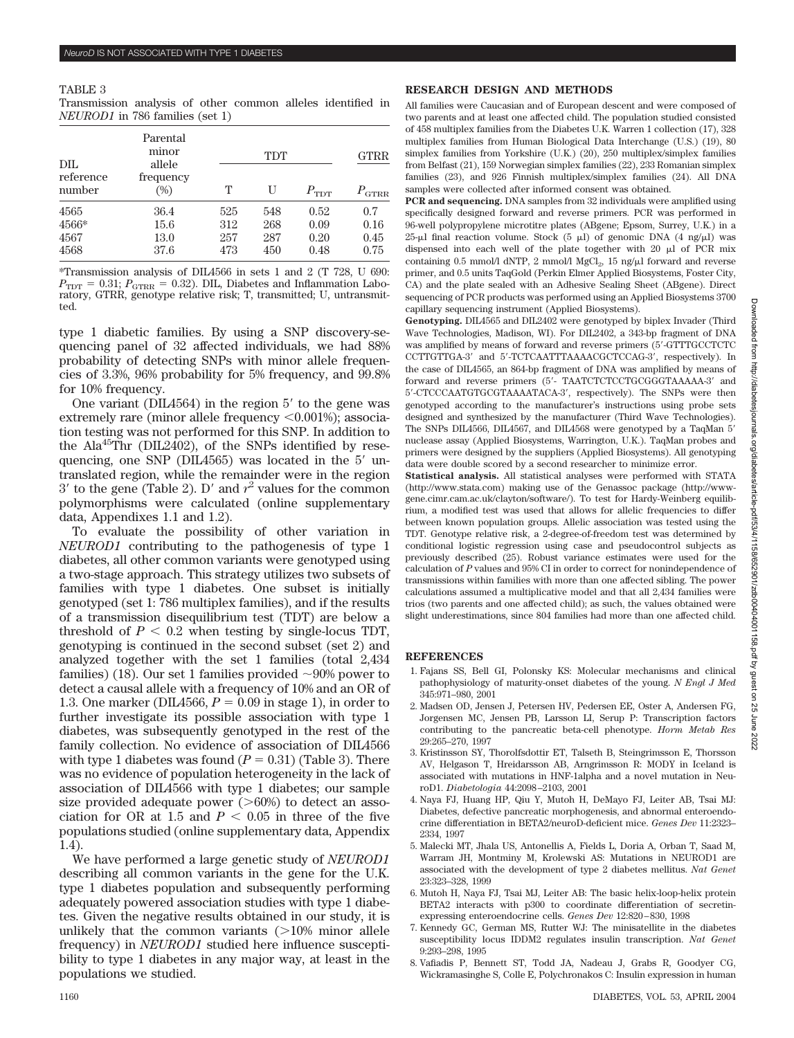## TABLE 3

Transmission analysis of other common alleles identified in *NEUROD1* in 786 families (set 1)

| DIL.                          | Parental<br>minor<br>allele<br>frequency<br>96) |                          | <b>GTRR</b>              |                              |                             |
|-------------------------------|-------------------------------------------------|--------------------------|--------------------------|------------------------------|-----------------------------|
| reference<br>number           |                                                 | т                        | U                        | $P_{\text{TDT}}$             | $P_{\rm GTRR}$              |
| 4565<br>4566*<br>4567<br>4568 | 36.4<br>15.6<br>13.0<br>37.6                    | 525<br>312<br>257<br>473 | 548<br>268<br>287<br>450 | 0.52<br>0.09<br>0.20<br>0.48 | 0.7<br>0.16<br>0.45<br>0.75 |

\*Transmission analysis of DIL4566 in sets 1 and 2 (T 728, U 690:  $P_{\text{TDT}} = 0.31; P_{\text{GTRR}} = 0.32$ ). DIL, Diabetes and Inflammation Laboratory, GTRR, genotype relative risk; T, transmitted; U, untransmitted.

type 1 diabetic families. By using a SNP discovery-sequencing panel of 32 affected individuals, we had 88% probability of detecting SNPs with minor allele frequencies of 3.3%, 96% probability for 5% frequency, and 99.8% for 10% frequency.

One variant (DIL4564) in the region  $5'$  to the gene was extremely rare (minor allele frequency  $\leq 0.001\%$ ); association testing was not performed for this SNP. In addition to the Ala<sup>45</sup>Thr (DIL2402), of the SNPs identified by resequencing, one SNP (DIL $4565$ ) was located in the  $5'$  untranslated region, while the remainder were in the region  $3'$  to the gene (Table 2). D' and  $r^2$  values for the common polymorphisms were calculated (online supplementary data, Appendixes 1.1 and 1.2).

To evaluate the possibility of other variation in *NEUROD1* contributing to the pathogenesis of type 1 diabetes, all other common variants were genotyped using a two-stage approach. This strategy utilizes two subsets of families with type 1 diabetes. One subset is initially genotyped (set 1: 786 multiplex families), and if the results of a transmission disequilibrium test (TDT) are below a threshold of  $P < 0.2$  when testing by single-locus TDT, genotyping is continued in the second subset (set 2) and analyzed together with the set 1 families (total 2,434 families) (18). Our set 1 families provided  $\sim 90\%$  power to detect a causal allele with a frequency of 10% and an OR of 1.3. One marker (DIL4566,  $P = 0.09$  in stage 1), in order to further investigate its possible association with type 1 diabetes, was subsequently genotyped in the rest of the family collection. No evidence of association of DIL4566 with type 1 diabetes was found  $(P = 0.31)$  (Table 3). There was no evidence of population heterogeneity in the lack of association of DIL4566 with type 1 diabetes; our sample size provided adequate power  $(>\,60\%)$  to detect an association for OR at 1.5 and  $P < 0.05$  in three of the five populations studied (online supplementary data, Appendix 1.4).

We have performed a large genetic study of *NEUROD1* describing all common variants in the gene for the U.K. type 1 diabetes population and subsequently performing adequately powered association studies with type 1 diabetes. Given the negative results obtained in our study, it is unlikely that the common variants  $(>10\%$  minor allele frequency) in *NEUROD1* studied here influence susceptibility to type 1 diabetes in any major way, at least in the populations we studied.

## **RESEARCH DESIGN AND METHODS**

All families were Caucasian and of European descent and were composed of two parents and at least one affected child. The population studied consisted of 458 multiplex families from the Diabetes U.K. Warren 1 collection (17), 328 multiplex families from Human Biological Data Interchange (U.S.) (19), 80 simplex families from Yorkshire (U.K.) (20), 250 multiplex/simplex families from Belfast (21), 159 Norwegian simplex families (22), 233 Romanian simplex families (23), and 926 Finnish multiplex/simplex families (24). All DNA samples were collected after informed consent was obtained.

**PCR and sequencing.** DNA samples from 32 individuals were amplified using specifically designed forward and reverse primers. PCR was performed in 96-well polypropylene microtitre plates (ABgene; Epsom, Surrey, U.K.) in a 25-µl final reaction volume. Stock  $(5 \mu I)$  of genomic DNA  $(4 \text{ ng}/\mu I)$  was dispensed into each well of the plate together with  $20 \mu$  of PCR mix containing 0.5 mmol/l dNTP, 2 mmol/l MgCl<sub>2</sub>, 15 ng/ $\mu$ l forward and reverse primer, and 0.5 units TaqGold (Perkin Elmer Applied Biosystems, Foster City, CA) and the plate sealed with an Adhesive Sealing Sheet (ABgene). Direct sequencing of PCR products was performed using an Applied Biosystems 3700 capillary sequencing instrument (Applied Biosystems).

**Genotyping.** DIL4565 and DIL2402 were genotyped by biplex Invader (Third Wave Technologies, Madison, WI). For DIL2402, a 343-bp fragment of DNA was amplified by means of forward and reverse primers (5-GTTTGCCTCTC CCTTGTTGA-3 and 5-TCTCAATTTAAAACGCTCCAG-3, respectively). In the case of DIL4565, an 864-bp fragment of DNA was amplified by means of forward and reverse primers (5'- TAATCTCTCCTGCGGGTAAAAA-3' and 5-CTCCCAATGTGCGTAAAATACA-3, respectively). The SNPs were then genotyped according to the manufacturer's instructions using probe sets designed and synthesized by the manufacturer (Third Wave Technologies). The SNPs DIL4566, DIL4567, and DIL4568 were genotyped by a TaqMan 5 nuclease assay (Applied Biosystems, Warrington, U.K.). TaqMan probes and primers were designed by the suppliers (Applied Biosystems). All genotyping data were double scored by a second researcher to minimize error.

**Statistical analysis.** All statistical analyses were performed with STATA (http://www.stata.com) making use of the Genassoc package (http://wwwgene.cimr.cam.ac.uk/clayton/software/). To test for Hardy-Weinberg equilibrium, a modified test was used that allows for allelic frequencies to differ between known population groups. Allelic association was tested using the TDT. Genotype relative risk, a 2-degree-of-freedom test was determined by conditional logistic regression using case and pseudocontrol subjects as previously described (25). Robust variance estimates were used for the calculation of *P* values and 95% CI in order to correct for nonindependence of transmissions within families with more than one affected sibling. The power calculations assumed a multiplicative model and that all 2,434 families were trios (two parents and one affected child); as such, the values obtained were slight underestimations, since 804 families had more than one affected child.

## **REFERENCES**

- 1. Fajans SS, Bell GI, Polonsky KS: Molecular mechanisms and clinical pathophysiology of maturity-onset diabetes of the young. *N Engl J Med* 345:971–980, 2001
- 2. Madsen OD, Jensen J, Petersen HV, Pedersen EE, Oster A, Andersen FG, Jorgensen MC, Jensen PB, Larsson LI, Serup P: Transcription factors contributing to the pancreatic beta-cell phenotype. *Horm Metab Res* 29:265–270, 1997
- 3. Kristinsson SY, Thorolfsdottir ET, Talseth B, Steingrimsson E, Thorsson AV, Helgason T, Hreidarsson AB, Arngrimsson R: MODY in Iceland is associated with mutations in HNF-1alpha and a novel mutation in NeuroD1. *Diabetologia* 44:2098–2103, 2001
- 4. Naya FJ, Huang HP, Qiu Y, Mutoh H, DeMayo FJ, Leiter AB, Tsai MJ: Diabetes, defective pancreatic morphogenesis, and abnormal enteroendocrine differentiation in BETA2/neuroD-deficient mice. *Genes Dev* 11:2323– 2334, 1997
- 5. Malecki MT, Jhala US, Antonellis A, Fields L, Doria A, Orban T, Saad M, Warram JH, Montminy M, Krolewski AS: Mutations in NEUROD1 are associated with the development of type 2 diabetes mellitus. *Nat Genet* 23:323–328, 1999
- 6. Mutoh H, Naya FJ, Tsai MJ, Leiter AB: The basic helix-loop-helix protein BETA2 interacts with p300 to coordinate differentiation of secretinexpressing enteroendocrine cells. *Genes Dev* 12:820–830, 1998
- 7. Kennedy GC, German MS, Rutter WJ: The minisatellite in the diabetes susceptibility locus IDDM2 regulates insulin transcription. *Nat Genet* 9:293–298, 1995
- 8. Vafiadis P, Bennett ST, Todd JA, Nadeau J, Grabs R, Goodyer CG, Wickramasinghe S, Colle E, Polychronakos C: Insulin expression in human